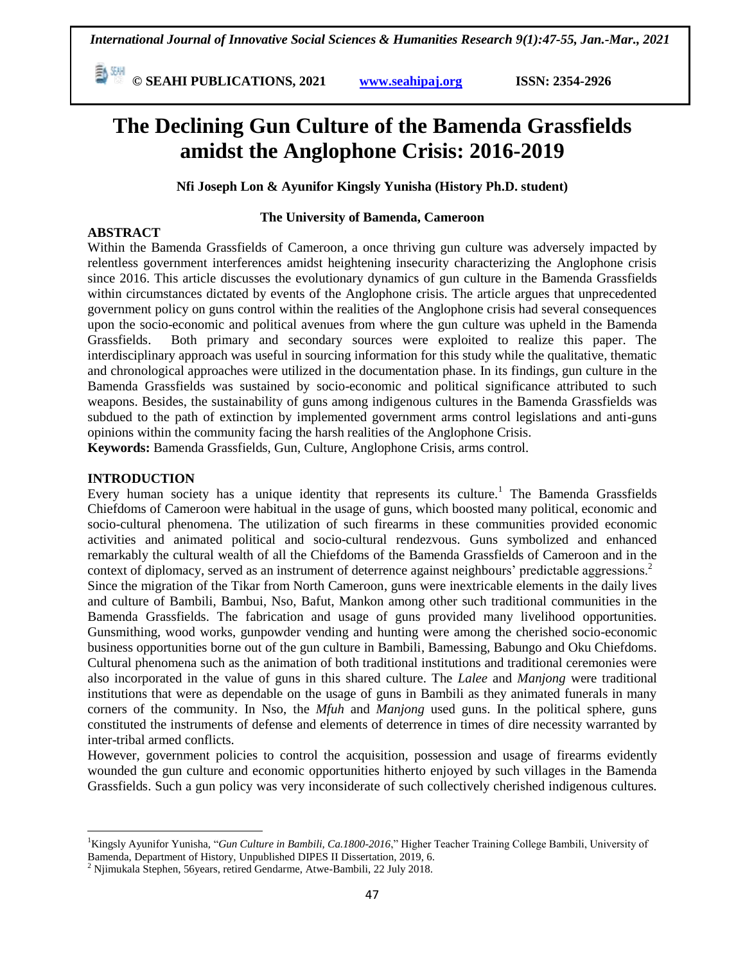**© SEAHI PUBLICATIONS, 2021 [www.seahipaj.org](http://www.seahipaj.org/) ISSN: 2354-2926** 

# **The Declining Gun Culture of the Bamenda Grassfields amidst the Anglophone Crisis: 2016-2019**

**Nfi Joseph Lon & Ayunifor Kingsly Yunisha (History Ph.D. student)**

## **The University of Bamenda, Cameroon**

## **ABSTRACT**

Within the Bamenda Grassfields of Cameroon, a once thriving gun culture was adversely impacted by relentless government interferences amidst heightening insecurity characterizing the Anglophone crisis since 2016. This article discusses the evolutionary dynamics of gun culture in the Bamenda Grassfields within circumstances dictated by events of the Anglophone crisis. The article argues that unprecedented government policy on guns control within the realities of the Anglophone crisis had several consequences upon the socio-economic and political avenues from where the gun culture was upheld in the Bamenda Grassfields. Both primary and secondary sources were exploited to realize this paper. The interdisciplinary approach was useful in sourcing information for this study while the qualitative, thematic and chronological approaches were utilized in the documentation phase. In its findings, gun culture in the Bamenda Grassfields was sustained by socio-economic and political significance attributed to such weapons. Besides, the sustainability of guns among indigenous cultures in the Bamenda Grassfields was subdued to the path of extinction by implemented government arms control legislations and anti-guns opinions within the community facing the harsh realities of the Anglophone Crisis.

**Keywords:** Bamenda Grassfields, Gun, Culture, Anglophone Crisis, arms control.

## **INTRODUCTION**

l

Every human society has a unique identity that represents its culture.<sup>1</sup> The Bamenda Grassfields Chiefdoms of Cameroon were habitual in the usage of guns, which boosted many political, economic and socio-cultural phenomena. The utilization of such firearms in these communities provided economic activities and animated political and socio-cultural rendezvous. Guns symbolized and enhanced remarkably the cultural wealth of all the Chiefdoms of the Bamenda Grassfields of Cameroon and in the context of diplomacy, served as an instrument of deterrence against neighbours' predictable aggressions.<sup>2</sup> Since the migration of the Tikar from North Cameroon, guns were inextricable elements in the daily lives and culture of Bambili, Bambui, Nso, Bafut, Mankon among other such traditional communities in the Bamenda Grassfields. The fabrication and usage of guns provided many livelihood opportunities. Gunsmithing, wood works, gunpowder vending and hunting were among the cherished socio-economic business opportunities borne out of the gun culture in Bambili, Bamessing, Babungo and Oku Chiefdoms. Cultural phenomena such as the animation of both traditional institutions and traditional ceremonies were also incorporated in the value of guns in this shared culture. The *Lalee* and *Manjong* were traditional institutions that were as dependable on the usage of guns in Bambili as they animated funerals in many corners of the community. In Nso, the *Mfuh* and *Manjong* used guns. In the political sphere, guns constituted the instruments of defense and elements of deterrence in times of dire necessity warranted by inter-tribal armed conflicts.

However, government policies to control the acquisition, possession and usage of firearms evidently wounded the gun culture and economic opportunities hitherto enjoyed by such villages in the Bamenda Grassfields. Such a gun policy was very inconsiderate of such collectively cherished indigenous cultures.

<sup>&</sup>lt;sup>1</sup>Kingsly Ayunifor Yunisha, "*Gun Culture in Bambili, Ca.1800-2016*," Higher Teacher Training College Bambili, University of Bamenda, Department of History, Unpublished DIPES II Dissertation, 2019, 6.

<sup>2</sup> Njimukala Stephen, 56years, retired Gendarme, Atwe-Bambili, 22 July 2018.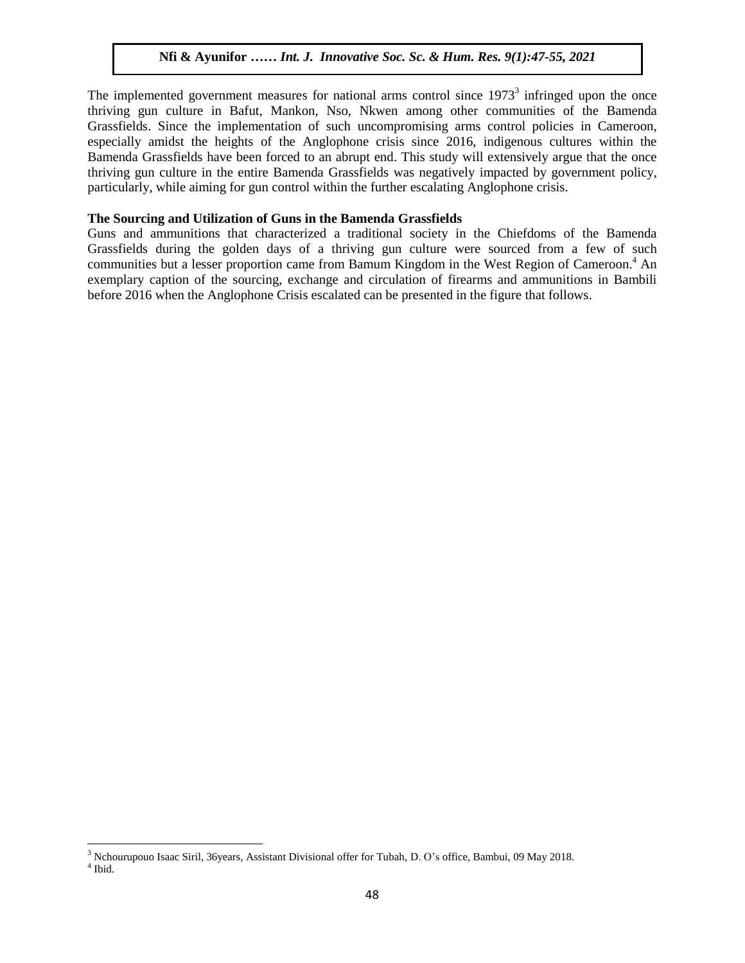The implemented government measures for national arms control since  $1973<sup>3</sup>$  infringed upon the once thriving gun culture in Bafut, Mankon, Nso, Nkwen among other communities of the Bamenda Grassfields. Since the implementation of such uncompromising arms control policies in Cameroon, especially amidst the heights of the Anglophone crisis since 2016, indigenous cultures within the Bamenda Grassfields have been forced to an abrupt end. This study will extensively argue that the once thriving gun culture in the entire Bamenda Grassfields was negatively impacted by government policy, particularly, while aiming for gun control within the further escalating Anglophone crisis.

#### **The Sourcing and Utilization of Guns in the Bamenda Grassfields**

Guns and ammunitions that characterized a traditional society in the Chiefdoms of the Bamenda Grassfields during the golden days of a thriving gun culture were sourced from a few of such communities but a lesser proportion came from Bamum Kingdom in the West Region of Cameroon. <sup>4</sup> An exemplary caption of the sourcing, exchange and circulation of firearms and ammunitions in Bambili before 2016 when the Anglophone Crisis escalated can be presented in the figure that follows.

 $\overline{a}$ 

<sup>3</sup> Nchourupouo Isaac Siril, 36years, Assistant Divisional offer for Tubah, D. O's office, Bambui, 09 May 2018.

<sup>4</sup> Ibid.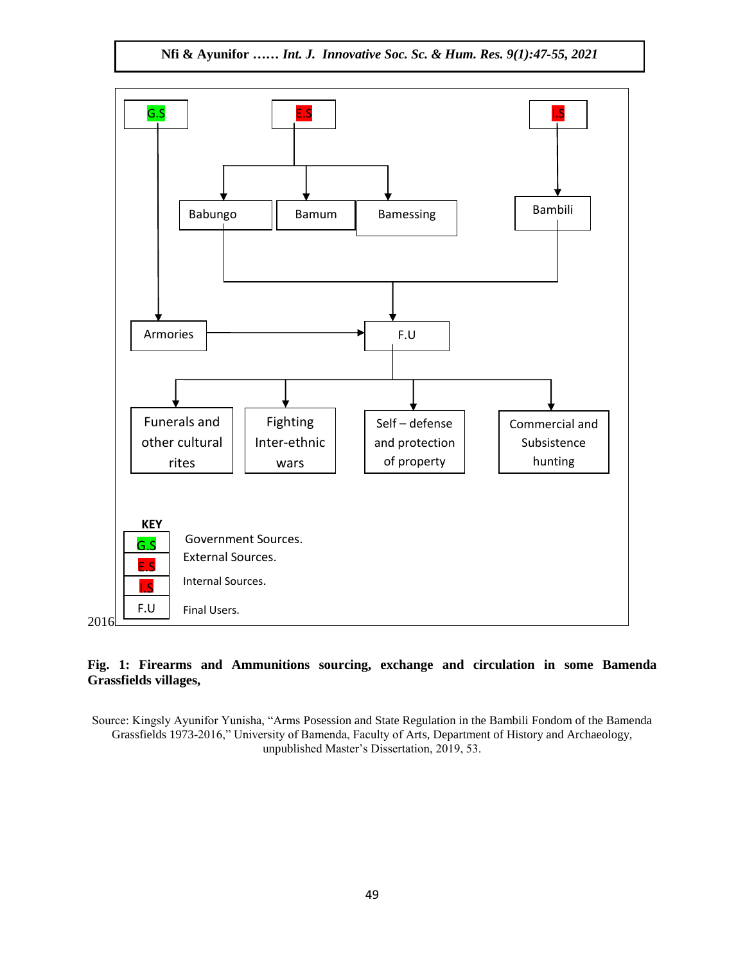**Nfi & Ayunifor** *…… Int. J. Innovative Soc. Sc. & Hum. Res. 9(1):47-55, 2021*



## **Fig. 1: Firearms and Ammunitions sourcing, exchange and circulation in some Bamenda Grassfields villages,**

Source: Kingsly Ayunifor Yunisha, "Arms Posession and State Regulation in the Bambili Fondom of the Bamenda Grassfields 1973-2016," University of Bamenda, Faculty of Arts, Department of History and Archaeology, unpublished Master's Dissertation, 2019, 53.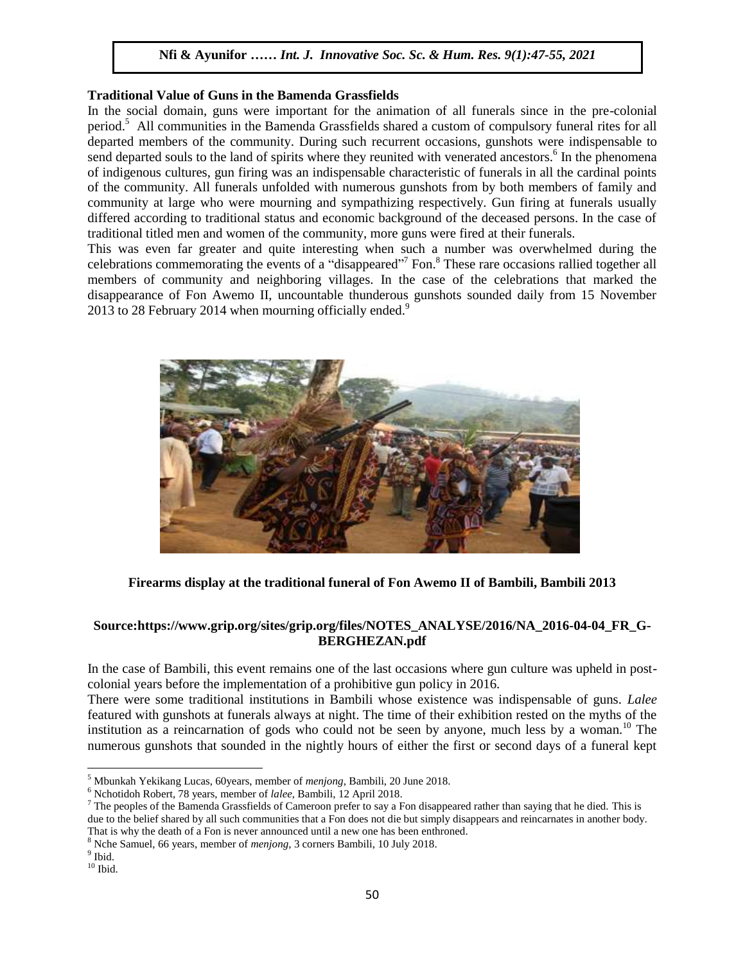#### **Traditional Value of Guns in the Bamenda Grassfields**

In the social domain, guns were important for the animation of all funerals since in the pre-colonial period.<sup>5</sup> All communities in the Bamenda Grassfields shared a custom of compulsory funeral rites for all departed members of the community. During such recurrent occasions, gunshots were indispensable to send departed souls to the land of spirits where they reunited with venerated ancestors.<sup>6</sup> In the phenomena of indigenous cultures, gun firing was an indispensable characteristic of funerals in all the cardinal points of the community. All funerals unfolded with numerous gunshots from by both members of family and community at large who were mourning and sympathizing respectively. Gun firing at funerals usually differed according to traditional status and economic background of the deceased persons. In the case of traditional titled men and women of the community, more guns were fired at their funerals.

This was even far greater and quite interesting when such a number was overwhelmed during the celebrations commemorating the events of a "disappeared"<sup>7</sup> Fon.<sup>8</sup> These rare occasions rallied together all members of community and neighboring villages. In the case of the celebrations that marked the disappearance of Fon Awemo II, uncountable thunderous gunshots sounded daily from 15 November 2013 to 28 February 2014 when mourning officially ended.<sup>9</sup>



## **Firearms display at the traditional funeral of Fon Awemo II of Bambili, Bambili 2013**

# **Source[:https://www.grip.org/sites/grip.org/files/NOTES\\_ANALYSE/2016/NA\\_2016-04-04\\_FR\\_G-](https://www.grip.org/sites/grip.org/files/NOTES_ANALYSE/2016/NA_2016-04-04_FR_G-BERGHEZAN.pdf)[BERGHEZAN.pdf](https://www.grip.org/sites/grip.org/files/NOTES_ANALYSE/2016/NA_2016-04-04_FR_G-BERGHEZAN.pdf)**

In the case of Bambili, this event remains one of the last occasions where gun culture was upheld in postcolonial years before the implementation of a prohibitive gun policy in 2016.

There were some traditional institutions in Bambili whose existence was indispensable of guns. *Lalee* featured with gunshots at funerals always at night. The time of their exhibition rested on the myths of the institution as a reincarnation of gods who could not be seen by anyone, much less by a woman.<sup>10</sup> The numerous gunshots that sounded in the nightly hours of either the first or second days of a funeral kept

 $\overline{\phantom{a}}$ 

<sup>5</sup> Mbunkah Yekikang Lucas, 60years, member of *menjong*, Bambili, 20 June 2018.

<sup>6</sup> Nchotidoh Robert, 78 years, member of *lalee*, Bambili, 12 April 2018.

 $^7$  The peoples of the Bamenda Grassfields of Cameroon prefer to say a Fon disappeared rather than saying that he died. This is due to the belief shared by all such communities that a Fon does not die but simply disappears and reincarnates in another body. That is why the death of a Fon is never announced until a new one has been enthroned.

<sup>8</sup> Nche Samuel, 66 years, member of *menjong*, 3 corners Bambili, 10 July 2018.

<sup>&</sup>lt;sup>9</sup> Ibid.

 $10$  Ibid.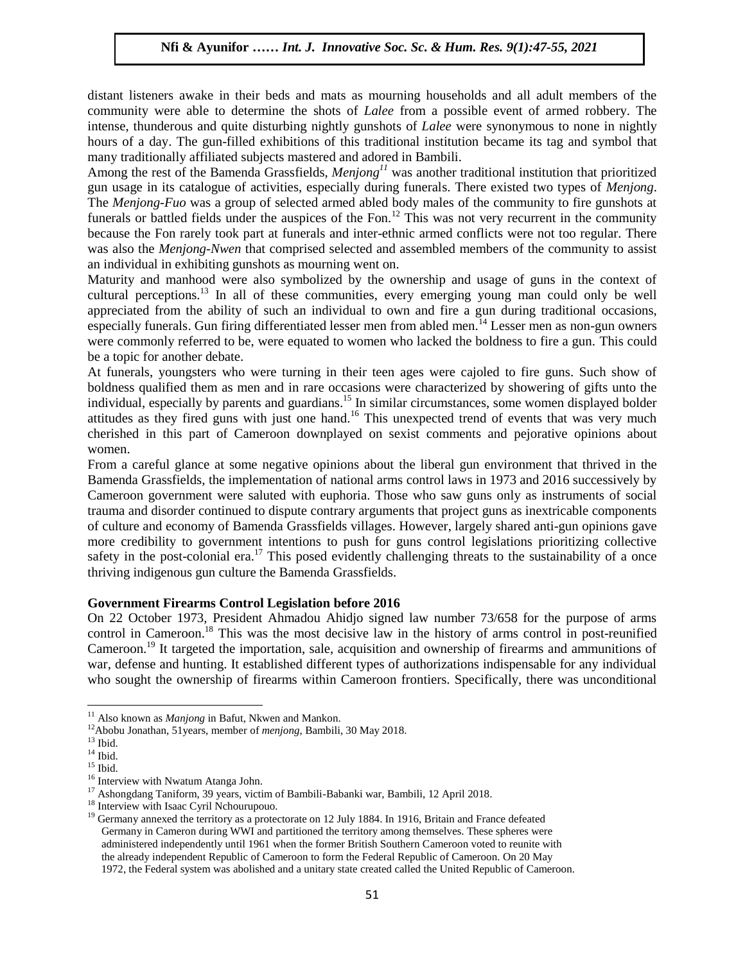distant listeners awake in their beds and mats as mourning households and all adult members of the community were able to determine the shots of *Lalee* from a possible event of armed robbery. The intense, thunderous and quite disturbing nightly gunshots of *Lalee* were synonymous to none in nightly hours of a day. The gun-filled exhibitions of this traditional institution became its tag and symbol that many traditionally affiliated subjects mastered and adored in Bambili.

Among the rest of the Bamenda Grassfields, *Menjong<sup>11</sup>* was another traditional institution that prioritized gun usage in its catalogue of activities, especially during funerals. There existed two types of *Menjong*. The *Menjong-Fuo* was a group of selected armed abled body males of the community to fire gunshots at funerals or battled fields under the auspices of the Fon.<sup>12</sup> This was not very recurrent in the community funerals because the Fon rarely took part at funerals and inter-ethnic armed conflicts were not too regular. There was also the *Menjong-Nwen* that comprised selected and assembled members of the community to assist an individual in exhibiting gunshots as mourning went on.

Maturity and manhood were also symbolized by the ownership and usage of guns in the context of cultural perceptions.<sup>13</sup> In all of these communities, every emerging young man could only be well appreciated from the ability of such an individual to own and fire a gun during traditional occasions, especially funerals. Gun firing differentiated lesser men from abled men.<sup>14</sup> Lesser men as non-gun owners were commonly referred to be, were equated to women who lacked the boldness to fire a gun. This could be a topic for another debate.

At funerals, youngsters who were turning in their teen ages were cajoled to fire guns. Such show of boldness qualified them as men and in rare occasions were characterized by showering of gifts unto the individual, especially by parents and guardians.<sup>15</sup> In similar circumstances, some women displayed bolder attitudes as they fired guns with just one hand.<sup>16</sup> This unexpected trend of events that was very much cherished in this part of Cameroon downplayed on sexist comments and pejorative opinions about women.

From a careful glance at some negative opinions about the liberal gun environment that thrived in the Bamenda Grassfields, the implementation of national arms control laws in 1973 and 2016 successively by Cameroon government were saluted with euphoria. Those who saw guns only as instruments of social trauma and disorder continued to dispute contrary arguments that project guns as inextricable components of culture and economy of Bamenda Grassfields villages. However, largely shared anti-gun opinions gave more credibility to government intentions to push for guns control legislations prioritizing collective safety in the post-colonial era.<sup>17</sup> This posed evidently challenging threats to the sustainability of a once thriving indigenous gun culture the Bamenda Grassfields.

#### **Government Firearms Control Legislation before 2016**

On 22 October 1973, President Ahmadou Ahidjo signed law number 73/658 for the purpose of arms control in Cameroon.<sup>18</sup> This was the most decisive law in the history of arms control in post-reunified Cameroon.<sup>19</sup> It targeted the importation, sale, acquisition and ownership of firearms and ammunitions of war, defense and hunting. It established different types of authorizations indispensable for any individual who sought the ownership of firearms within Cameroon frontiers. Specifically, there was unconditional

 $\overline{\phantom{a}}$ 

<sup>&</sup>lt;sup>11</sup> Also known as *Manjong* in Bafut, Nkwen and Mankon.

<sup>12</sup>Abobu Jonathan, 51years, member of *menjong,* Bambili, 30 May 2018.

 $^{\rm 13}$  Ibid.

 $^{14}$  Ibid.

 $15$  Ibid.

<sup>16</sup> Interview with Nwatum Atanga John.

<sup>&</sup>lt;sup>17</sup> Ashongdang Taniform, 39 years, victim of Bambili-Babanki war, Bambili, 12 April 2018.

<sup>&</sup>lt;sup>18</sup> Interview with Isaac Cyril Nchourupouo.

 $19$  Germany annexed the territory as a protectorate on 12 July 1884. In 1916, Britain and France defeated Germany in Cameron during WWI and partitioned the territory among themselves. These spheres were administered independently until 1961 when the former British Southern Cameroon voted to reunite with the already independent Republic of Cameroon to form the Federal Republic of Cameroon. On 20 May 1972, the Federal system was abolished and a unitary state created called the United Republic of Cameroon.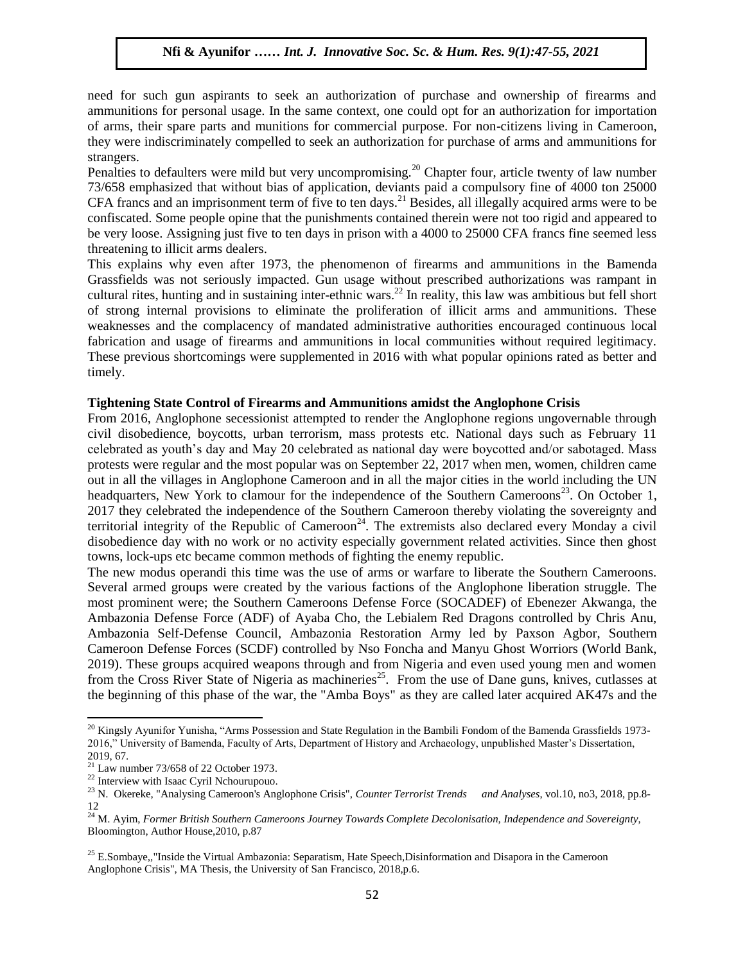need for such gun aspirants to seek an authorization of purchase and ownership of firearms and ammunitions for personal usage. In the same context, one could opt for an authorization for importation of arms, their spare parts and munitions for commercial purpose. For non-citizens living in Cameroon, they were indiscriminately compelled to seek an authorization for purchase of arms and ammunitions for strangers.

Penalties to defaulters were mild but very uncompromising.<sup>20</sup> Chapter four, article twenty of law number 73/658 emphasized that without bias of application, deviants paid a compulsory fine of 4000 ton 25000 CFA francs and an imprisonment term of five to ten days.<sup>21</sup> Besides, all illegally acquired arms were to be confiscated. Some people opine that the punishments contained therein were not too rigid and appeared to be very loose. Assigning just five to ten days in prison with a 4000 to 25000 CFA francs fine seemed less threatening to illicit arms dealers.

This explains why even after 1973, the phenomenon of firearms and ammunitions in the Bamenda Grassfields was not seriously impacted. Gun usage without prescribed authorizations was rampant in cultural rites, hunting and in sustaining inter-ethnic wars.<sup>22</sup> In reality, this law was ambitious but fell short of strong internal provisions to eliminate the proliferation of illicit arms and ammunitions. These weaknesses and the complacency of mandated administrative authorities encouraged continuous local fabrication and usage of firearms and ammunitions in local communities without required legitimacy. These previous shortcomings were supplemented in 2016 with what popular opinions rated as better and timely.

#### **Tightening State Control of Firearms and Ammunitions amidst the Anglophone Crisis**

From 2016, Anglophone secessionist attempted to render the Anglophone regions ungovernable through civil disobedience, boycotts, urban terrorism, mass protests etc. National days such as February 11 celebrated as youth's day and May 20 celebrated as national day were boycotted and/or sabotaged. Mass protests were regular and the most popular was on September 22, 2017 when men, women, children came out in all the villages in Anglophone Cameroon and in all the major cities in the world including the UN headquarters, New York to clamour for the independence of the Southern Cameroons<sup>23</sup>. On October 1, 2017 they celebrated the independence of the Southern Cameroon thereby violating the sovereignty and territorial integrity of the Republic of Cameroon<sup>24</sup>. The extremists also declared every Monday a civil disobedience day with no work or no activity especially government related activities. Since then ghost towns, lock-ups etc became common methods of fighting the enemy republic.

The new modus operandi this time was the use of arms or warfare to liberate the Southern Cameroons. Several armed groups were created by the various factions of the Anglophone liberation struggle. The most prominent were; the Southern Cameroons Defense Force (SOCADEF) of Ebenezer Akwanga, the Ambazonia Defense Force (ADF) of Ayaba Cho, the Lebialem Red Dragons controlled by Chris Anu, Ambazonia Self-Defense Council, Ambazonia Restoration Army led by Paxson Agbor, Southern Cameroon Defense Forces (SCDF) controlled by Nso Foncha and Manyu Ghost Worriors (World Bank, 2019). These groups acquired weapons through and from Nigeria and even used young men and women from the Cross River State of Nigeria as machineries<sup>25</sup>. From the use of Dane guns, knives, cutlasses at the beginning of this phase of the war, the "Amba Boys" as they are called later acquired AK47s and the

 $\overline{a}$ 

<sup>&</sup>lt;sup>20</sup> Kingsly Ayunifor Yunisha, "Arms Possession and State Regulation in the Bambili Fondom of the Bamenda Grassfields 1973-2016," University of Bamenda, Faculty of Arts, Department of History and Archaeology, unpublished Master's Dissertation, 2019, 67.

 $21$  Law number 73/658 of 22 October 1973.

<sup>22</sup> Interview with Isaac Cyril Nchourupouo.

<sup>23</sup> N. Okereke, "Analysing Cameroon's Anglophone Crisis", *Counter Terrorist Trends and Analyses*, vol.10, no3, 2018, pp.8- 12

<sup>&</sup>lt;sup>24</sup> M. Ayim, *Former British Southern Cameroons Journey Towards Complete Decolonisation, Independence and Sovereignty*, Bloomington, Author House,2010, p.87

<sup>&</sup>lt;sup>25</sup> E.Sombaye,,"Inside the Virtual Ambazonia: Separatism, Hate Speech,Disinformation and Disapora in the Cameroon Anglophone Crisis", MA Thesis, the University of San Francisco, 2018,p.6.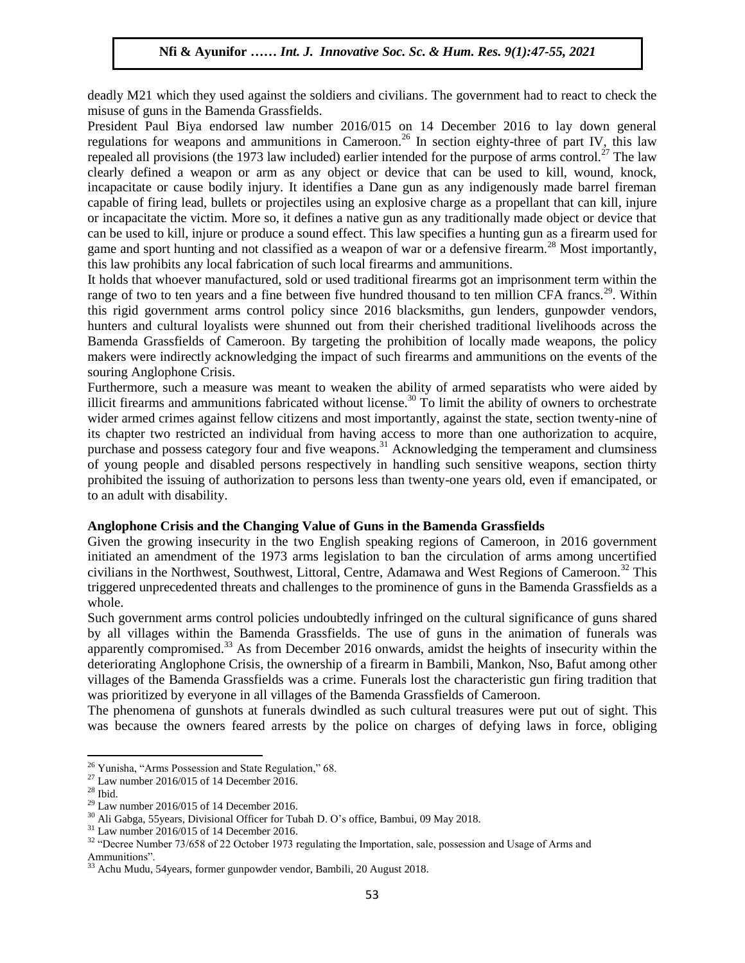deadly M21 which they used against the soldiers and civilians. The government had to react to check the misuse of guns in the Bamenda Grassfields.

President Paul Biya endorsed law number 2016/015 on 14 December 2016 to lay down general regulations for weapons and ammunitions in Cameroon.<sup>26</sup> In section eighty-three of part IV, this law repealed all provisions (the 1973 law included) earlier intended for the purpose of arms control.<sup>27</sup> The law clearly defined a weapon or arm as any object or device that can be used to kill, wound, knock, incapacitate or cause bodily injury. It identifies a Dane gun as any indigenously made barrel fireman capable of firing lead, bullets or projectiles using an explosive charge as a propellant that can kill, injure or incapacitate the victim. More so, it defines a native gun as any traditionally made object or device that can be used to kill, injure or produce a sound effect. This law specifies a hunting gun as a firearm used for game and sport hunting and not classified as a weapon of war or a defensive firearm.<sup>28</sup> Most importantly, this law prohibits any local fabrication of such local firearms and ammunitions.

It holds that whoever manufactured, sold or used traditional firearms got an imprisonment term within the range of two to ten years and a fine between five hundred thousand to ten million CFA francs.<sup>29</sup>. Within this rigid government arms control policy since 2016 blacksmiths, gun lenders, gunpowder vendors, hunters and cultural loyalists were shunned out from their cherished traditional livelihoods across the Bamenda Grassfields of Cameroon. By targeting the prohibition of locally made weapons, the policy makers were indirectly acknowledging the impact of such firearms and ammunitions on the events of the souring Anglophone Crisis.

Furthermore, such a measure was meant to weaken the ability of armed separatists who were aided by illicit firearms and ammunitions fabricated without license.<sup>30</sup> To limit the ability of owners to orchestrate wider armed crimes against fellow citizens and most importantly, against the state, section twenty-nine of its chapter two restricted an individual from having access to more than one authorization to acquire, purchase and possess category four and five weapons.<sup>31</sup> Acknowledging the temperament and clumsiness of young people and disabled persons respectively in handling such sensitive weapons, section thirty prohibited the issuing of authorization to persons less than twenty-one years old, even if emancipated, or to an adult with disability.

## **Anglophone Crisis and the Changing Value of Guns in the Bamenda Grassfields**

Given the growing insecurity in the two English speaking regions of Cameroon, in 2016 government initiated an amendment of the 1973 arms legislation to ban the circulation of arms among uncertified civilians in the Northwest, Southwest, Littoral, Centre, Adamawa and West Regions of Cameroon.<sup>32</sup> This triggered unprecedented threats and challenges to the prominence of guns in the Bamenda Grassfields as a whole.

Such government arms control policies undoubtedly infringed on the cultural significance of guns shared by all villages within the Bamenda Grassfields. The use of guns in the animation of funerals was apparently compromised.<sup>33</sup> As from December 2016 onwards, amidst the heights of insecurity within the deteriorating Anglophone Crisis, the ownership of a firearm in Bambili, Mankon, Nso, Bafut among other villages of the Bamenda Grassfields was a crime. Funerals lost the characteristic gun firing tradition that was prioritized by everyone in all villages of the Bamenda Grassfields of Cameroon.

The phenomena of gunshots at funerals dwindled as such cultural treasures were put out of sight. This was because the owners feared arrests by the police on charges of defying laws in force, obliging

 $\overline{\phantom{a}}$ 

 $26$  Yunisha, "Arms Possession and State Regulation," 68.

 $^{27}$  Law number 2016/015 of 14 December 2016.

 $^{\rm 28}$  Ibid.

 $29$  Law number 2016/015 of 14 December 2016.

<sup>30</sup> Ali Gabga, 55years, Divisional Officer for Tubah D. O's office, Bambui, 09 May 2018.

 $31$  Law number 2016/015 of 14 December 2016.

<sup>&</sup>lt;sup>32</sup> "Decree Number 73/658 of 22 October 1973 regulating the Importation, sale, possession and Usage of Arms and Ammunitions".

<sup>33</sup> Achu Mudu, 54years, former gunpowder vendor, Bambili, 20 August 2018.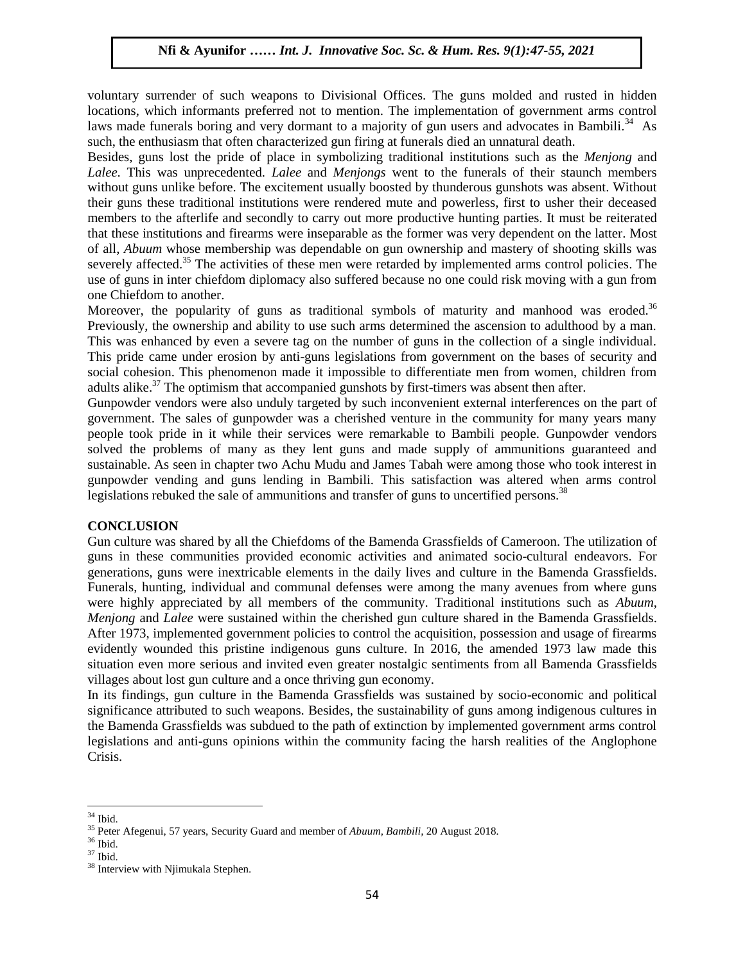voluntary surrender of such weapons to Divisional Offices. The guns molded and rusted in hidden locations, which informants preferred not to mention. The implementation of government arms control laws made funerals boring and very dormant to a majority of gun users and advocates in Bambili.<sup>34</sup> As such, the enthusiasm that often characterized gun firing at funerals died an unnatural death.

Besides, guns lost the pride of place in symbolizing traditional institutions such as the *Menjong* and *Lalee.* This was unprecedented. *Lalee* and *Menjongs* went to the funerals of their staunch members without guns unlike before. The excitement usually boosted by thunderous gunshots was absent. Without their guns these traditional institutions were rendered mute and powerless, first to usher their deceased members to the afterlife and secondly to carry out more productive hunting parties. It must be reiterated that these institutions and firearms were inseparable as the former was very dependent on the latter. Most of all, *Abuum* whose membership was dependable on gun ownership and mastery of shooting skills was severely affected.<sup>35</sup> The activities of these men were retarded by implemented arms control policies. The use of guns in inter chiefdom diplomacy also suffered because no one could risk moving with a gun from one Chiefdom to another.

Moreover, the popularity of guns as traditional symbols of maturity and manhood was eroded.<sup>36</sup> Previously, the ownership and ability to use such arms determined the ascension to adulthood by a man. This was enhanced by even a severe tag on the number of guns in the collection of a single individual. This pride came under erosion by anti-guns legislations from government on the bases of security and social cohesion. This phenomenon made it impossible to differentiate men from women, children from adults alike. $37$  The optimism that accompanied gunshots by first-timers was absent then after.

Gunpowder vendors were also unduly targeted by such inconvenient external interferences on the part of government. The sales of gunpowder was a cherished venture in the community for many years many people took pride in it while their services were remarkable to Bambili people. Gunpowder vendors solved the problems of many as they lent guns and made supply of ammunitions guaranteed and sustainable. As seen in chapter two Achu Mudu and James Tabah were among those who took interest in gunpowder vending and guns lending in Bambili. This satisfaction was altered when arms control legislations rebuked the sale of ammunitions and transfer of guns to uncertified persons.<sup>38</sup>

#### **CONCLUSION**

Gun culture was shared by all the Chiefdoms of the Bamenda Grassfields of Cameroon. The utilization of guns in these communities provided economic activities and animated socio-cultural endeavors. For generations, guns were inextricable elements in the daily lives and culture in the Bamenda Grassfields. Funerals, hunting, individual and communal defenses were among the many avenues from where guns were highly appreciated by all members of the community. Traditional institutions such as *Abuum*, *Menjong* and *Lalee* were sustained within the cherished gun culture shared in the Bamenda Grassfields. After 1973, implemented government policies to control the acquisition, possession and usage of firearms evidently wounded this pristine indigenous guns culture. In 2016, the amended 1973 law made this situation even more serious and invited even greater nostalgic sentiments from all Bamenda Grassfields villages about lost gun culture and a once thriving gun economy.

In its findings, gun culture in the Bamenda Grassfields was sustained by socio-economic and political significance attributed to such weapons. Besides, the sustainability of guns among indigenous cultures in the Bamenda Grassfields was subdued to the path of extinction by implemented government arms control legislations and anti-guns opinions within the community facing the harsh realities of the Anglophone Crisis.

l  $34$  Ibid.

<sup>35</sup> Peter Afegenui, 57 years, Security Guard and member of *Abuum, Bambili,* 20 August 2018*.*

 $^{\rm 36}$  Ibid.

 $^{37}$  Ibid.

<sup>&</sup>lt;sup>38</sup> Interview with Njimukala Stephen.